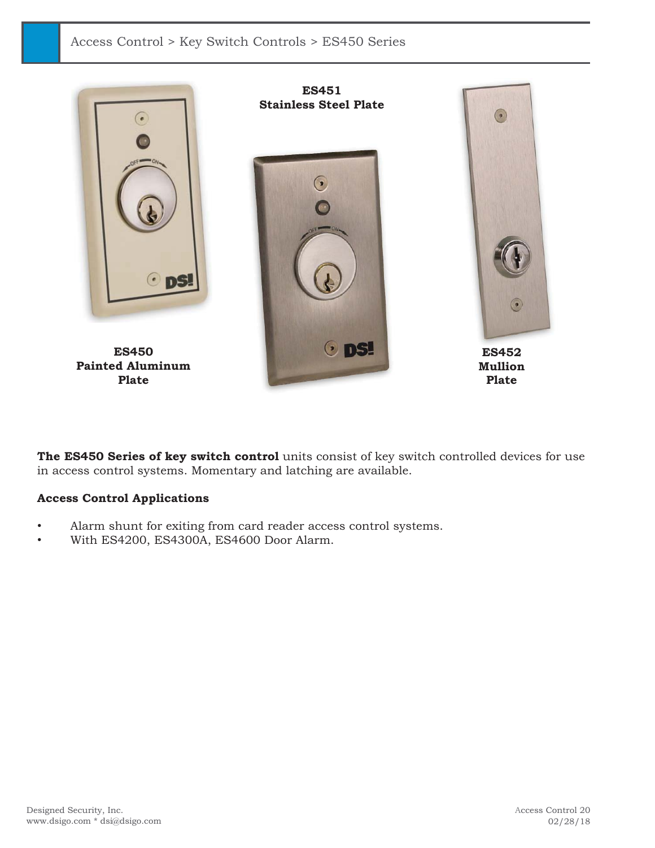

**The ES450 Series of key switch control** units consist of key switch controlled devices for use in access control systems. Momentary and latching are available.

## **Access Control Applications**

- Alarm shunt for exiting from card reader access control systems.
- With ES4200, ES4300A, ES4600 Door Alarm.